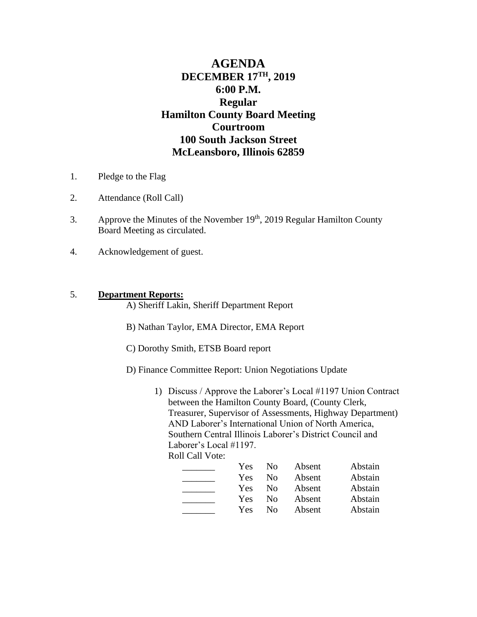# **AGENDA DECEMBER 17TH, 2019 6:00 P.M. Regular Hamilton County Board Meeting Courtroom 100 South Jackson Street McLeansboro, Illinois 62859**

- 1. Pledge to the Flag
- 2. Attendance (Roll Call)
- 3. Approve the Minutes of the November  $19<sup>th</sup>$ , 2019 Regular Hamilton County Board Meeting as circulated.
- 4. Acknowledgement of guest.

### 5. **Department Reports:**

A) Sheriff Lakin, Sheriff Department Report

- B) Nathan Taylor, EMA Director, EMA Report
- C) Dorothy Smith, ETSB Board report
- D) Finance Committee Report: Union Negotiations Update
	- 1) Discuss / Approve the Laborer's Local #1197 Union Contract between the Hamilton County Board, (County Clerk, Treasurer, Supervisor of Assessments, Highway Department) AND Laborer's International Union of North America, Southern Central Illinois Laborer's District Council and Laborer's Local #1197. Roll Call Vote:

| <b>Yes</b> | N <sub>0</sub> | Absent | Abstain |
|------------|----------------|--------|---------|
| Yes        | No.            | Absent | Abstain |
| Yes        | No.            | Absent | Abstain |
| <b>Yes</b> | $\rm No$       | Absent | Abstain |
| Yes        | No.            | Absent | Abstain |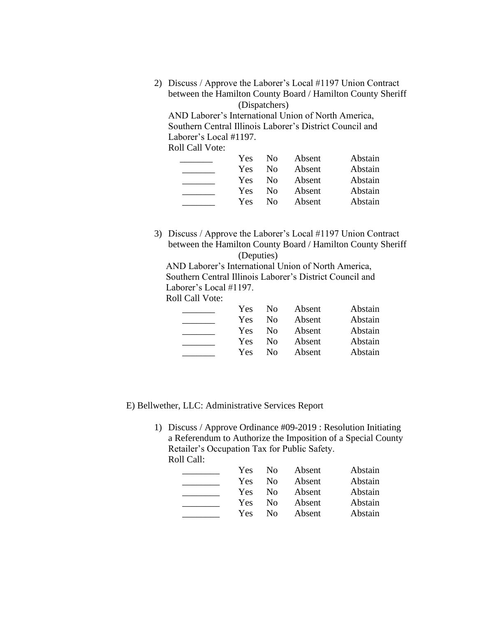2) Discuss / Approve the Laborer's Local #1197 Union Contract between the Hamilton County Board / Hamilton County Sheriff (Dispatchers)

AND Laborer's International Union of North America, Southern Central Illinois Laborer's District Council and Laborer's Local #1197. Roll Call Vote:

| Yes. | No.            | Absent | Abstain |
|------|----------------|--------|---------|
| Yes. | N <sub>0</sub> | Absent | Abstain |
| Yes. | N <sub>0</sub> | Absent | Abstain |
| Yes  | N <sub>0</sub> | Absent | Abstain |
| Yes  | $N_{\Omega}$   | Absent | Abstain |

3) Discuss / Approve the Laborer's Local #1197 Union Contract between the Hamilton County Board / Hamilton County Sheriff (Deputies)

 AND Laborer's International Union of North America, Southern Central Illinois Laborer's District Council and Laborer's Local #1197.

Roll Call Vote:

| Yes. | N <sub>0</sub> | Absent | Abstain |
|------|----------------|--------|---------|
| Yes. | N <sub>0</sub> | Absent | Abstain |
| Yes. | No.            | Absent | Abstain |
| Yes. | N <sub>0</sub> | Absent | Abstain |
| Yes. | $\rm No$       | Absent | Abstain |

E) Bellwether, LLC: Administrative Services Report

1) Discuss / Approve Ordinance #09-2019 : Resolution Initiating a Referendum to Authorize the Imposition of a Special County Retailer's Occupation Tax for Public Safety. Roll Call:

| Yes | No.            | Absent | Abstain |
|-----|----------------|--------|---------|
| Yes | No.            | Absent | Abstain |
| Yes | N <sub>0</sub> | Absent | Abstain |
| Yes | $\rm No$       | Absent | Abstain |
| Yes | $\rm No$       | Absent | Abstain |
|     |                |        |         |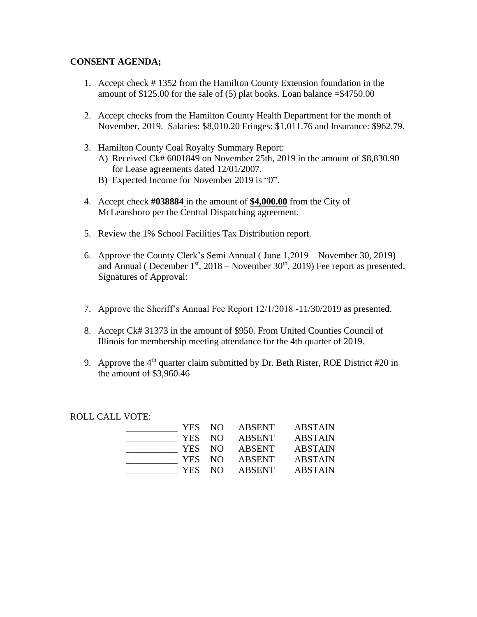### **CONSENT AGENDA;**

- 1. Accept check # 1352 from the Hamilton County Extension foundation in the amount of  $$125.00$  for the sale of (5) plat books. Loan balance  $= $4750.00$
- 2. Accept checks from the Hamilton County Health Department for the month of November, 2019. Salaries: \$8,010.20 Fringes: \$1,011.76 and Insurance: \$962.79.
- 3. Hamilton County Coal Royalty Summary Report:
	- A) Received Ck# 6001849 on November 25th, 2019 in the amount of \$8,830.90 for Lease agreements dated 12/01/2007.
	- B) Expected Income for November 2019 is "0".
- 4. Accept check **#038884** in the amount of **\$4,000.00** from the City of McLeansboro per the Central Dispatching agreement.
- 5. Review the 1% School Facilities Tax Distribution report.
- 6. Approve the County Clerk's Semi Annual ( June 1,2019 November 30, 2019) and Annual ( December  $1<sup>st</sup>$ , 2018 – November  $30<sup>th</sup>$ , 2019) Fee report as presented. Signatures of Approval:
- 7. Approve the Sheriff's Annual Fee Report 12/1/2018 -11/30/2019 as presented.
- 8. Accept Ck# 31373 in the amount of \$950. From United Counties Council of Illinois for membership meeting attendance for the 4th quarter of 2019.
- 9. Approve the  $4<sup>th</sup>$  quarter claim submitted by Dr. Beth Rister, ROE District #20 in the amount of \$3,960.46

ROLL CALL VOTE:

| YES NO |                | ABSENT        | <b>ABSTAIN</b> |
|--------|----------------|---------------|----------------|
| YES NO |                | ABSENT        | <b>ABSTAIN</b> |
| YES NO |                | <b>ABSENT</b> | <b>ABSTAIN</b> |
| YES NO |                | <b>ABSENT</b> | <b>ABSTAIN</b> |
| YES.   | N <sub>O</sub> | <b>ABSENT</b> | <b>ABSTAIN</b> |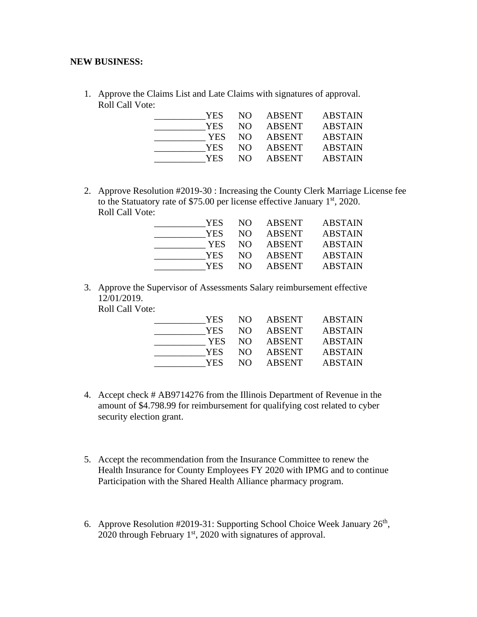#### **NEW BUSINESS:**

1. Approve the Claims List and Late Claims with signatures of approval. Roll Call Vote:

| YES. | NO. | <b>ABSENT</b> | <b>ABSTAIN</b> |
|------|-----|---------------|----------------|
| YES  | NO. | <b>ABSENT</b> | <b>ABSTAIN</b> |
| YES  | NO. | <b>ABSENT</b> | <b>ABSTAIN</b> |
| YES. | NO. | <b>ABSENT</b> | <b>ABSTAIN</b> |
| YES. | NO. | <b>ABSENT</b> | <b>ABSTAIN</b> |

2. Approve Resolution #2019-30 : Increasing the County Clerk Marriage License fee to the Statuatory rate of \$75.00 per license effective January  $1<sup>st</sup>$ , 2020. Roll Call Vote:

| YES  | NO. | ABSENT        | <b>ABSTAIN</b> |
|------|-----|---------------|----------------|
| YES  | NO. | <b>ABSENT</b> | <b>ABSTAIN</b> |
| YES. | NO. | <b>ABSENT</b> | <b>ABSTAIN</b> |
| YES  | NO. | <b>ABSENT</b> | <b>ABSTAIN</b> |
| YES  | NΩ  | <b>ABSENT</b> | <b>ABSTAIN</b> |

3. Approve the Supervisor of Assessments Salary reimbursement effective 12/01/2019.

Roll Call Vote:

| YES.  |      | NO ABSENT | <b>ABSTAIN</b> |
|-------|------|-----------|----------------|
| YES.  | NO - | ABSENT    | <b>ABSTAIN</b> |
| YES . |      | NO ABSENT | <b>ABSTAIN</b> |
| YES.  | NO.  | ABSENT    | <b>ABSTAIN</b> |
| YES.  | NO.  | ABSENT    | <b>ABSTAIN</b> |

- 4. Accept check # AB9714276 from the Illinois Department of Revenue in the amount of \$4.798.99 for reimbursement for qualifying cost related to cyber security election grant.
- 5. Accept the recommendation from the Insurance Committee to renew the Health Insurance for County Employees FY 2020 with IPMG and to continue Participation with the Shared Health Alliance pharmacy program.
- 6. Approve Resolution #2019-31: Supporting School Choice Week January  $26<sup>th</sup>$ , 2020 through February  $1<sup>st</sup>$ , 2020 with signatures of approval.